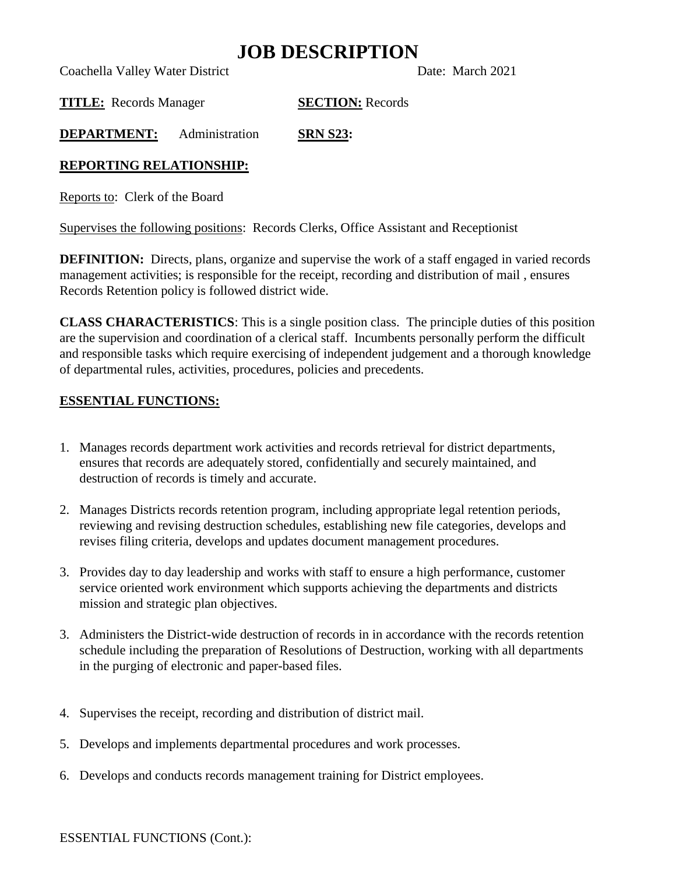### **JOB DESCRIPTION**

Coachella Valley Water District Date: March 2021

**TITLE:** Records Manager **SECTION:** Records

**DEPARTMENT:** Administration **SRN S23:**

### **REPORTING RELATIONSHIP:**

Reports to: Clerk of the Board

Supervises the following positions: Records Clerks, Office Assistant and Receptionist

**DEFINITION:** Directs, plans, organize and supervise the work of a staff engaged in varied records management activities; is responsible for the receipt, recording and distribution of mail , ensures Records Retention policy is followed district wide.

**CLASS CHARACTERISTICS**: This is a single position class. The principle duties of this position are the supervision and coordination of a clerical staff. Incumbents personally perform the difficult and responsible tasks which require exercising of independent judgement and a thorough knowledge of departmental rules, activities, procedures, policies and precedents.

### **ESSENTIAL FUNCTIONS:**

- 1. Manages records department work activities and records retrieval for district departments, ensures that records are adequately stored, confidentially and securely maintained, and destruction of records is timely and accurate.
- 2. Manages Districts records retention program, including appropriate legal retention periods, reviewing and revising destruction schedules, establishing new file categories, develops and revises filing criteria, develops and updates document management procedures.
- 3. Provides day to day leadership and works with staff to ensure a high performance, customer service oriented work environment which supports achieving the departments and districts mission and strategic plan objectives.
- 3. Administers the District-wide destruction of records in in accordance with the records retention schedule including the preparation of Resolutions of Destruction, working with all departments in the purging of electronic and paper-based files.
- 4. Supervises the receipt, recording and distribution of district mail.
- 5. Develops and implements departmental procedures and work processes.
- 6. Develops and conducts records management training for District employees.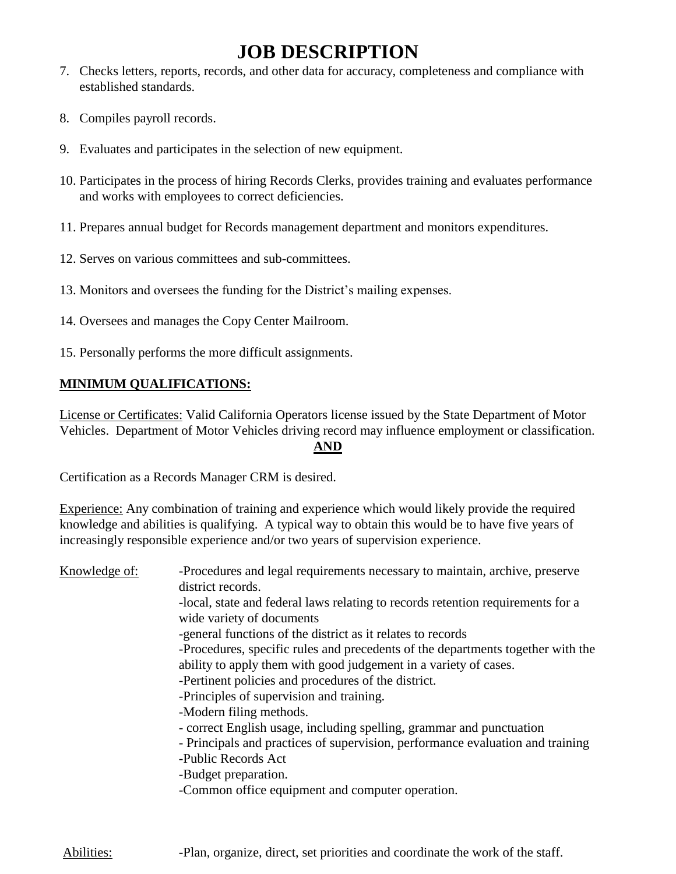## **JOB DESCRIPTION**

- 7. Checks letters, reports, records, and other data for accuracy, completeness and compliance with established standards.
- 8. Compiles payroll records.
- 9. Evaluates and participates in the selection of new equipment.
- 10. Participates in the process of hiring Records Clerks, provides training and evaluates performance and works with employees to correct deficiencies.
- 11. Prepares annual budget for Records management department and monitors expenditures.
- 12. Serves on various committees and sub-committees.
- 13. Monitors and oversees the funding for the District's mailing expenses.
- 14. Oversees and manages the Copy Center Mailroom.
- 15. Personally performs the more difficult assignments.

### **MINIMUM QUALIFICATIONS:**

License or Certificates: Valid California Operators license issued by the State Department of Motor Vehicles. Department of Motor Vehicles driving record may influence employment or classification.

#### **AND**

Certification as a Records Manager CRM is desired.

Experience: Any combination of training and experience which would likely provide the required knowledge and abilities is qualifying. A typical way to obtain this would be to have five years of increasingly responsible experience and/or two years of supervision experience.

| Knowledge of: | -Procedures and legal requirements necessary to maintain, archive, preserve<br>district records.                                                    |
|---------------|-----------------------------------------------------------------------------------------------------------------------------------------------------|
|               | -local, state and federal laws relating to records retention requirements for a                                                                     |
|               | wide variety of documents<br>-general functions of the district as it relates to records                                                            |
|               | -Procedures, specific rules and precedents of the departments together with the<br>ability to apply them with good judgement in a variety of cases. |
|               | -Pertinent policies and procedures of the district.                                                                                                 |
|               | -Principles of supervision and training.                                                                                                            |
|               | -Modern filing methods.                                                                                                                             |
|               | - correct English usage, including spelling, grammar and punctuation                                                                                |
|               | - Principals and practices of supervision, performance evaluation and training                                                                      |
|               | -Public Records Act                                                                                                                                 |
|               | -Budget preparation.                                                                                                                                |
|               | -Common office equipment and computer operation.                                                                                                    |
|               |                                                                                                                                                     |